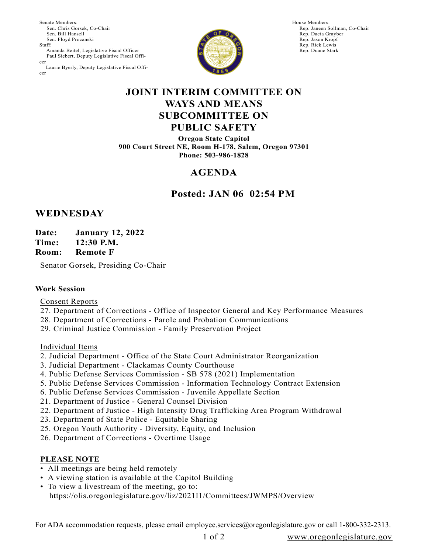Senate Members: Sen. Chris Gorsek, Co-Chair Sen. Bill Hansell Sen. Floyd Prozanski Staff: Amanda Beitel, Legislative Fiscal Officer Paul Siebert, Deputy Legislative Fiscal Officer Laurie Byerly, Deputy Legislative Fiscal Officer



House Members: Rep. Janeen Sollman, Co-Chair Rep. Dacia Grayber Rep. Jason Kropf Rep. Rick Lewis Rep. Duane Stark

### **JOINT INTERIM COMMITTEE ON WAYS AND MEANS SUBCOMMITTEE ON PUBLIC SAFETY**

**Oregon State Capitol 900 Court Street NE, Room H-178, Salem, Oregon 97301 Phone: 503-986-1828**

# **AGENDA**

### **Posted: JAN 06 02:54 PM**

## **WEDNESDAY**

**Date: January 12, 2022**

**Time: 12:30 P.M.**

**Room: Remote F**

Senator Gorsek, Presiding Co-Chair

#### **Work Session**

Consent Reports

- 27. Department of Corrections Office of Inspector General and Key Performance Measures
- 28. Department of Corrections Parole and Probation Communications
- 29. Criminal Justice Commission Family Preservation Project

Individual Items

- 2. Judicial Department Office of the State Court Administrator Reorganization
- 3. Judicial Department Clackamas County Courthouse
- 4. Public Defense Services Commission SB 578 (2021) Implementation
- 5. Public Defense Services Commission Information Technology Contract Extension
- 6. Public Defense Services Commission Juvenile Appellate Section
- 21. Department of Justice General Counsel Division
- 22. Department of Justice High Intensity Drug Trafficking Area Program Withdrawal
- 23. Department of State Police Equitable Sharing
- 25. Oregon Youth Authority Diversity, Equity, and Inclusion
- 26. Department of Corrections Overtime Usage

#### **PLEASE NOTE**

- All meetings are being held remotely
- A viewing station is available at the Capitol Building
- To view a livestream of the meeting, go to: https://olis.oregonlegislature.gov/liz/2021I1/Committees/JWMPS/Overview

For ADA accommodation requests, please email employee.services@oregonlegislature.gov or call 1-800-332-2313.